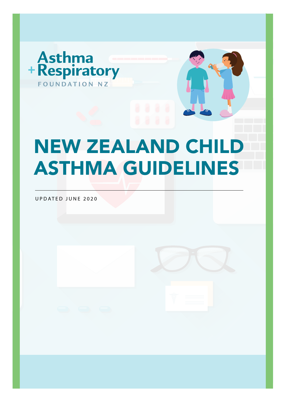

# NEW ZEALAND CHILD **ASTHMA GUIDELINES**

UPDATED JUNE 2020

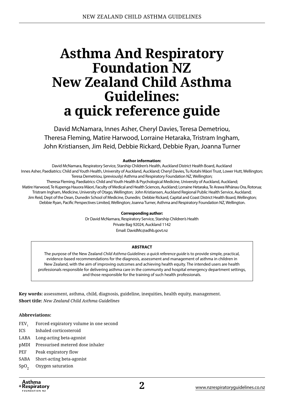## **Asthma And Respiratory Foundation NZ New Zealand Child Asthma Guidelines: a quick reference guide**

David McNamara, Innes Asher, Cheryl Davies, Teresa Demetriou, Theresa Fleming, Matire Harwood, Lorraine Hetaraka, Tristram Ingham, John Kristiansen, Jim Reid, Debbie Rickard, Debbie Ryan, Joanna Turner

#### **Author information:**

David McNamara, Respiratory Service, Starship Children's Health, Auckland District Health Board, Auckland Innes Asher, Paediatrics: Child and Youth Health, University of Auckland, Auckland; Cheryl Davies, Tu Kotahi Māori Trust, Lower Hutt, Wellington; Teresa Demetriou, (previously) Asthma and Respiratory Foundation NZ, Wellington; Theresa Fleming, Paediatrics: Child and Youth Health & Psychological Medicine, University of Auckland, Auckland; Matire Harwood, Te Kupenga Hauora Māori, Faculty of Medical and Health Sciences, Auckland; Lorraine Hetaraka, Te Arawa Whānau Ora, Rotorua; Tristram Ingham, Medicine, University of Otago, Wellington; John Kristiansen, Auckland Regional Public Health Service, Auckland; Jim Reid, Dept of the Dean, Dunedin School of Medicine, Dunedin; Debbie Rickard, Capital and Coast District Health Board, Wellington; Debbie Ryan, Pacific Perspectives Limited, Wellington; Joanna Turner, Asthma and Respiratory Foundation NZ, Wellington.

#### **Corresponding author:**

Dr David McNamara, Respiratory Service, Starship Children's Health Private Bag 92024, Auckland 1142 Email: [DavidMc@adhb.govt.nz](mailto:DavidMc@adhb.govt.nz)

#### **ABSTRACT**

The purpose of the New Zealand *Child Asthma Guidelines: a quick reference guide* is to provide simple, practical, evidence-based recommendations for the diagnosis, assessment and management of asthma in children in New Zealand, with the aim of improving outcomes and achieving health equity. The intended users are health professionals responsible for delivering asthma care in the community and hospital emergency department settings, and those responsible for the training of such health professionals.

**Key words:** assessment, asthma, child, diagnosis, guideline, inequities, health equity, management. **Short title:** *New Zealand Child Asthma Guidelines*

#### **Abbreviations:**

- FEV<sub>1</sub> Forced expiratory volume in one second
- ICS Inhaled corticosteroid
- LABA Long-acting beta-agonist
- pMDI Pressurised metered dose inhaler
- PEF Peak expiratory flow
- SABA Short-acting beta-agonist
- SpO<sub>2</sub> Oxygen saturation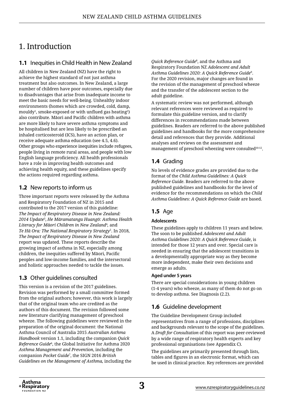## 1. Introduction

#### **1.1** Inequities in Child Health in New Zealand

All children in New Zealand (NZ) have the right to achieve the highest standard of not just asthma treatment but also outcomes. In New Zealand, a large number of children have poor outcomes, especially due to disadvantages that arise from inadequate income to meet the basic needs for well-being. Unhealthy indoor environments (homes which are crowded, cold, damp, mouldy $^{\rm 1}$ , smoke-exposed or with unflued gas heating $^{\rm 2)}$ also contribute. Māori and Pacific children with asthma are more likely to have severe asthma symptoms and be hospitalised but are less likely to be prescribed an inhaled corticosteroid (ICS), have an action plan, or receive adequate asthma education (see 4.5, 4.6). Other groups who experience inequities include refugees, people living in remote rural areas, and people with low English language proficiency. All health professionals have a role in improving health outcomes and achieving health equity, and these guidelines specify the actions required regarding asthma.

#### **1.2** New reports to inform us

Three important reports were released by the Asthma and Respiratory Foundation of NZ in 2015 and contributed to the 2017 version of this guideline: *The Impact of Respiratory Disease in New Zealand: 2014 Update*<sup>3</sup> , *He Māramatanga Huangō: Asthma Health Literacy for Māori Children in New Zealand*<sup>4</sup> *,* and *Te Hā Ora: The National Respiratory Strategy*<sup>5</sup> . In 2018, *The Impact of Respiratory Disease in New Zealand*  report was updated. These reports describe the growing impact of asthma in NZ, especially among children, the inequities suffered by Māori, Pacific peoples and low-income families, and the intersectoral and holistic approaches needed to tackle the issues.

#### **1.3** Other guidelines consulted

This version is a revision of the 2017 guidelines. Revision was performed by a small committee formed from the original authors; however, this work is largely that of the original team who are credited as the authors of this document. The revision followed some new literature clarifying management of preschool wheeze. The following guidelines were reviewed in the preparation of the original document: the National Asthma Council of Australia 2015 *Australian Asthma Handbook* version 1.1, including the companion *Quick Reference Guide*<sup>6</sup> , the Global Initiative for Asthma 2020 *Asthma Management and Prevention*, including the companion *Pocket Guide*<sup>7</sup> , the SIGN 2016 *British Guidelines on the Management of Asthma,* including the

*Quick Reference Guide*<sup>8</sup> , and the Asthma and Respiratory Foundation NZ *Adolescent and Adult Asthma Guidelines 2020: A Quick Reference Guide*<sup>9</sup> . For the 2020 revision, major changes are found in the revision of the management of preschool wheeze and the transfer of the adolescent section to the adult guideline.

A systematic review was not performed, although relevant references were reviewed as required to formulate this guideline version, and to clarify differences in recommendations made between guidelines. Readers are referred to the above published guidelines and handbooks for the more comprehensive detail and references that they provide. Additional analyses and reviews on the assessment and management of preschool wheezing were consulted<sup>10-12</sup>.

## **1.4** Grading

No levels of evidence grades are provided due to the format of the *Child Asthma Guidelines: A Quick Reference Guide*. Readers are referred to the above published guidelines and handbooks for the level of evidence for the recommendations on which the *Child Asthma Guidelines: A Quick Reference Guide* are based.

### **1.5** Age

#### **Adolescents**

These guidelines apply to children 11 years and below. The soon to be published *Adolescent and Adult Asthma Guidelines 2020: A Quick Reference Guide*, is intended for those 12 years and over. Special care is needed in ensuring that the adolescent transitions in a developmentally appropriate way as they become more independent, make their own decisions and emerge as adults.

#### **Aged under 5 years**

There are special considerations in young children (1-4 years) who wheeze, as many of them do not go on to develop asthma. See Diagnosis (2.2).

#### **1.6** Guideline development

The Guideline Development Group included representatives from a range of professions, disciplines and backgrounds relevant to the scope of the guidelines. A *Draft for Consultation* of this report was peer-reviewed by a wide range of respiratory health experts and key professional organisations (see Appendix C).

The guidelines are primarily presented through lists, tables and figures in an electronic format, which can be used in clinical practice. Key references are provided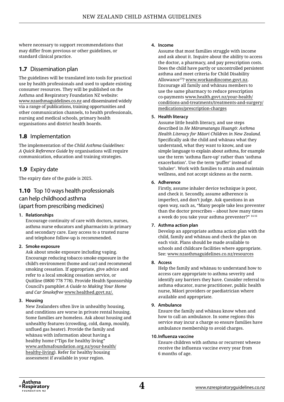where necessary to support recommendations that may differ from previous or other guidelines, or standard clinical practice.

#### **1.7** Dissemination plan

The guidelines will be translated into tools for practical use by health professionals and used to update existing consumer resources. They will be published on the Asthma and Respiratory Foundation NZ website: [www.nzasthmaguidelines.co.nz](https://www.nzasthmaguidelines.co.nz) and disseminated widely via a range of publications, training opportunities and other communication channels, to health professionals, nursing and medical schools, primary health organisations and district health boards.

#### **1.8** Implementation

The implementation of the *Child Asthma Guidelines: A Quick Reference Guide* by organisations will require communication, education and training strategies.

#### **1.9** Expiry date

The expiry date of the guide is 2025.

## **1.10** Top 10 ways health professionals can help childhood asthma

#### (apart from prescribing medicines)

#### **1. Relationships**

Encourage continuity of care with doctors, nurses, asthma nurse educators and pharmacists in primary and secondary care. Easy access to a trusted nurse and telephone follow-up is recommended.

#### **2. Smoke exposure**

Ask about smoke exposure including vaping. Encourage reducing tobacco smoke exposure in the child's environment (home and car) and recommend smoking cessation. If appropriate, give advice and refer to a local smoking cessation service, or Quitline (0800 778 778). Provide Health Sponsorship Council's pamphlet *A Guide to Making Your Home and Car Smokefree* [www.healthed.govt.nz/](http://www.healthed.govt.nz/).

#### **3. Housing**

New Zealanders often live in unhealthy housing, and conditions are worse in private rental housing. Some families are homeless. Ask about housing and unhealthy features (crowding, cold, damp, mouldy, unflued gas heater). Provide the family and whānau with information about having a healthy home ("Tips for healthy living" [www.asthmafoundation.org.nz/your-health/](https://www.asthmafoundation.org.nz/your-health/healthy-living) [healthy-living](https://www.asthmafoundation.org.nz/your-health/healthy-living)). Refer for healthy housing assessment if available in your region.

#### **4. Income**

Assume that most families struggle with income and ask about it. Inquire about the ability to access the doctor, a pharmacy, and pay prescription costs. Does the child have partly or uncontrolled persistent asthma and meet criteria for Child Disability Allowance<sup>13</sup>? [www.workandincome.govt.nz](https://www.workandincome.govt.nz/). Encourage all family and whānau members to use the same pharmacy to reduce prescription co-payments [www.health.govt.nz/your-health/](http://www.health.govt.nz/your-health/conditions-and-treatments/treatments-and-surgery/medications/prescription-charges) [conditions-and-treatments/treatments-and-surgery/](http://www.health.govt.nz/your-health/conditions-and-treatments/treatments-and-surgery/medications/prescription-charges) [medications/prescription-charges](http://www.health.govt.nz/your-health/conditions-and-treatments/treatments-and-surgery/medications/prescription-charges)

#### **5. Health literacy**

Assume little health literacy, and use steps described in *He Māramatanga Huangō: Asthma Health Literacy for Māori Children in New Zealand.*  Specifically ask the child and whānau what they understand, what they want to know, and use simple language to explain about asthma, for example use the term 'asthma flare-up' rather than 'asthma exacerbation'. Use the term 'puffer' instead of 'inhaler'. Work with families to attain and maintain wellness, and not accept sickness as the norm.

#### **6. Adherence**

Firstly, assume inhaler device technique is poor, and check it. Secondly, assume adherence is imperfect, and don't judge. Ask questions in an open way, such as, "Many people take less preventer than the doctor prescribes – about how many times a week do you take your asthma preventer?" 14-16

#### **7. Asthma action plan**

Develop an appropriate asthma action plan with the child, family and whānau and check the plan on each visit. Plans should be made available to schools and childcare facilities where appropriate. See: [www.nzasthmaguidelines.co.nz/resources](https://www.nzasthmaguidelines.co.nz/resources)

#### **8. Access**

Help the family and whānau to understand how to access care appropriate to asthma severity and identify any barriers they have. Consider referral to asthma educator, nurse practitioner, public health nurse, Māori providers or paediatrician where available and appropriate.

#### **9. Ambulance**

Ensure the family and whānau know when and how to call an ambulance. In some regions this service may incur a charge so ensure families have ambulance membership to avoid charges.

#### **10.Influenza vaccine**

Ensure children with asthma or recurrent wheeze receive the influenza vaccine every year from 6 months of age.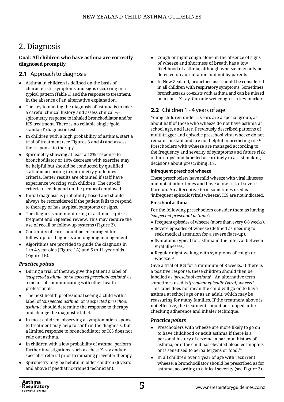## 2. Diagnosis

#### **Goal: All children who have asthma are correctly diagnosed promptly**

#### **2.1** Approach to diagnosis

- ● Asthma in children is defined on the basis of characteristic symptoms and signs occurring in a typical pattern (Table 1) and the response to treatment, in the absence of an alternative explanation.
- The key to making the diagnosis of asthma is to take a careful clinical history and assess clinical +/ spirometry response to inhaled bronchodilator and/or ICS treatment. There is no reliable single 'gold standard' diagnostic test.
- In children with a high probability of asthma, start a trial of treatment (see Figures 3 and 4) and assess the response to therapy.
- Spirometry showing at least a 12% response to bronchodilator or 10% decrease with exercise may be helpful but should be conducted by qualified staff and according to spirometry guidelines criteria. Better results are obtained if staff have experience working with children. The cut-off criteria used depend on the protocol employed.
- ● Initial diagnosis is probability-based and should always be reconsidered if the patient fails to respond to therapy or has atypical symptoms or signs.
- The diagnosis and monitoring of asthma requires frequent and repeated review. This may require the use of recall or follow-up systems (Figure 2).
- Continuity of care should be encouraged for follow-up for diagnosis and ongoing management.
- Algorithms are provided to guide the diagnosis in 1 to 4-year olds (Figure 1A) and 5 to 11-year olds (Figure 1B).

#### *Practice points*

- During a trial of therapy, give the patient a label of '*suspected asthma*' or '*suspected preschool asthma*' as a means of communicating with other health professionals.
- The next health professional seeing a child with a label of '*suspected asthma*' or '*suspected preschool asthma*' should determine the response to therapy and change the diagnostic label.
- In most children, observing a symptomatic response to treatment may help to confirm the diagnosis, but a limited response to bronchodilator or ICS does not rule out asthma.
- In children with a low probability of asthma, perform further investigations, such as chest X-ray and/or specialist referral prior to initiating preventer therapy.
- Spirometry may be helpful in older children (6 years and above if paediatric-trained technician).
- Cough or night cough alone in the absence of signs of wheeze and shortness of breath has a low likelihood of asthma, although wheeze may only be detected on auscultation and not by parents.
- ● In New Zealand, bronchiectasis should be considered in all children with respiratory symptoms. Sometimes bronchiectasis co-exists with asthma and can be missed on a chest X-ray. Chronic wet cough is a key marker.

#### **2.2** Children 1 - 4 years of age

Young children under 5 years are a special group, as about half of those who wheeze do not have asthma at school age, and later. Previously described patterns of multi-trigger and episodic preschool viral wheeze do not remain constant and are not helpful in predicting risk $17$ . Preschoolers with wheeze are managed according to the frequency and severity of symptoms and future risk of flare-ups<sup>7</sup> and labelled accordingly to assist making decisions about prescribing ICS.

#### **Infrequent preschool wheeze**

These preschoolers have mild wheeze with viral illnesses and not at other times and have a low risk of severe flare-up. An alternative term sometimes used is 'infrequent episodic (viral) wheeze'. ICS are not indicated.

#### **Preschool asthma**

For the following preschoolers consider them as having *'suspected preschool asthma'*:

- Frequent episodes of wheeze (more than every 6-8 weeks).
- Severe episodes of wheeze (defined as needing to seek medical attention for a severe flare-up).
- Symptoms typical for asthma in the interval between viral illnesses.
- Regular night waking with symptoms of cough or wheeze.18

Give a trial of ICS for a minimum of 8 weeks. If there is a positive response, these children should then be labelled as '*preschool asthma*'. An alternative term sometimes used is '*frequent episodic (viral) wheeze*'. This label does not mean the child will go on to have asthma at school age or as an adult, which may be reassuring for many families. If the treatment above is not effective, the treatment should be stopped, after checking adherence and inhaler technique.

#### *Practice points*

- ● Preschoolers with wheeze are more likely to go on to have childhood or adult asthma if there is a personal history of eczema, a parental history of asthma, or if the child has elevated blood eosinophils or is sensitised to aeroallergens or food.<sup>19</sup>
- In all children over 1 year of age with recurrent wheeze, a bronchodilator should be prescribed as for asthma, according to clinical severity (see Figure 3).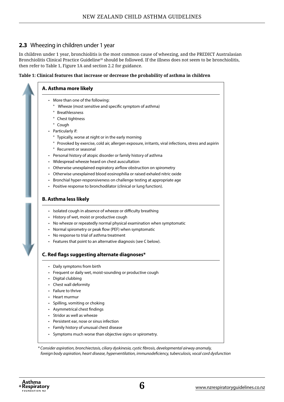#### **2.3** Wheezing in children under 1 year

In children under 1 year, bronchiolitis is the most common cause of wheezing, and the PREDICT Australasian Bronchiolitis Clinical Practice Guideline<sup>20</sup> should be followed. If the illness does not seem to be bronchiolitis, then refer to Table 1, Figure 1A and section 2.2 for guidance.

#### **Table 1: Clinical features that increase or decrease the probability of asthma in children**



*\* Consider aspiration, bronchiectasis, ciliary dyskinesia, cystic fibrosis, developmental airway anomaly, foreign body aspiration, heart disease, hyperventilation, immunodeficiency, tuberculosis, vocal cord dysfunction*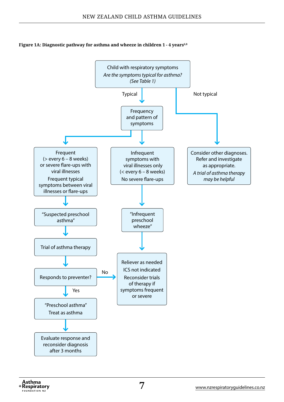#### Figure 1A: Diagnostic pathway for asthma and wheeze in children 1 - 4 years<sup>6,8</sup>

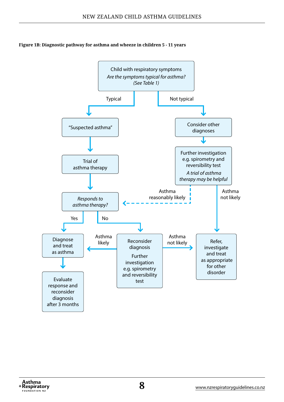**Figure 1B: Diagnostic pathway for asthma and wheeze in children 5 - 11 years**

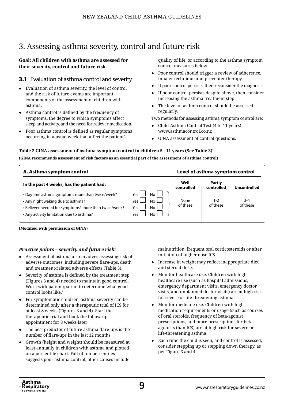## 3. Assessing asthma severity, control and future risk

#### **Goal: All children with asthma are assessed for their severity, control and future risk**

#### **3.1** Evaluation of asthma control and severity

- ● Evaluation of asthma severity, the level of control and the risk of future events are important components of the assessment of children with asthma.
- Asthma control is defined by the frequency of symptoms, the degree to which symptoms affect sleep and activity, and the need for reliever medication.
- ● Poor asthma control is defined as regular symptoms occurring in a usual week that affect the patient's

quality of life, or according to the asthma symptom control measures below.

- Poor control should trigger a review of adherence, inhaler technique and preventer therapy.
- If poor control persists, then reconsider the diagnosis.
- If poor control persists despite above, then consider increasing the asthma treatment step.
- The level of asthma control should be assessed regularly.

Two methods for assessing asthma symptom control are:

- Child-Asthma Control Test (4 to 11 years): [www.asthmacontrol.co.nz](http://www.asthmacontrol.co.nz/)
- GINA assessment of control questions.

#### **Table 2 GINA assessment of asthma symptom control in children 5 - 11 years (See Table 3)1**

**(GINA recommends assessment of risk factors as an essential part of the assessment of asthma control)**

| A. Asthma symptom control                                                                                                                                                                 |                                                         |                    | Level of asthma symptom control |                     |
|-------------------------------------------------------------------------------------------------------------------------------------------------------------------------------------------|---------------------------------------------------------|--------------------|---------------------------------|---------------------|
| In the past 4 weeks, has the patient had:                                                                                                                                                 |                                                         | Well<br>controlled | Partly<br>controlled            | Uncontrolled        |
| • Daytime asthma symptoms more than twice/week?<br>• Any night waking due to asthma?<br>• Reliever needed for symptoms* more than twice/week?<br>• Any activity limitation due to asthma? | No l<br>Yes<br>No.<br>Yes.<br>No.<br>Yes.<br>No.<br>Yes | None<br>of these   | 1-2<br>of these                 | $3 - 4$<br>of these |

#### **(Modified with permission of GINA)**

#### *Practice points – severity and future risk:*

- Assessment of asthma also involves assessing risk of adverse outcomes, including severe flare-ups, death and treatment-related adverse effects (Table 3).
- Severity of asthma is defined by the treatment step (Figures 3 and 4) needed to maintain good control. Work with patient/parent to determine what good control looks like.<sup>6</sup>
- For symptomatic children, asthma severity can be determined only after a therapeutic trial of ICS for at least 8 weeks (Figures 3 and 4). Start the therapeutic trial and book the follow-up appointment for 8 weeks later.
- The best predictor of future asthma flare-ups is the number of flare-ups in the last 12 months.
- Growth (height and weight) should be measured at least annually in children with asthma and plotted on a percentile chart. Fall-off on percentiles suggests poor asthma control; other causes include

malnutrition, frequent oral corticosteroids or after initiation of higher dose ICS.

- Increase in weight may reflect inappropriate diet and steroid dose.
- Monitor healthcare use. Children with high healthcare use (such as hospital admissions, emergency department visits, emergency doctor visits, and unplanned doctor visits) are at high risk for severe or life-threatening asthma.
- Monitor medicine use. Children with high medication requirements or usage (such as courses of oral steroids, frequency of beta-agonist prescriptions, and more prescriptions for betaagonists than ICS) are at high risk for severe or life-threatening asthma.
- Each time the child is seen, and control is assessed, consider stepping up or stepping down therapy, as per Figure 3 and 4.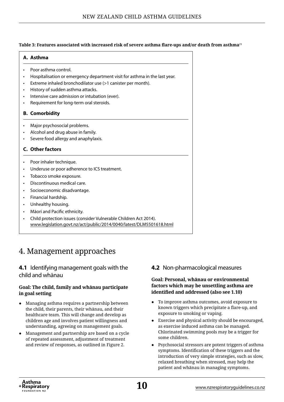#### **Table 3: Features associated with increased risk of severe asthma flare-ups and/or death from asthma**<sup>21</sup>

#### **A. Asthma**

- Poor asthma control.
- Hospitalisation or emergency department visit for asthma in the last year.
- Extreme inhaled bronchodilator use (>1 canister per month).
- History of sudden asthma attacks.
- Intensive care admission or intubation (ever).
- Requirement for long-term oral steroids.

#### **B. Comorbidity**

- Major psychosocial problems.
- Alcohol and drug abuse in family.
- Severe food allergy and anaphylaxis.

#### **C. Other factors**

- Poor inhaler technique.
- Underuse or poor adherence to ICS treatment.
- Tobacco smoke exposure.
- Discontinuous medical care.
- Socioeconomic disadvantage.
- Financial hardship.
- Unhealthy housing.
- Māori and Pacific ethnicity.
- Child protection issues (consider Vulnerable Children Act 2014). [www.legislation.govt.nz/act/public/2014/0040/latest/DLM5501618.html](http://www.legislation.govt.nz/act/public/2014/0040/latest/DLM5501618.html)

## 4. Management approaches

#### **4.1** Identifying management goals with the child and whānau

#### **Goal: The child, family and whānau participate in goal setting**

- Managing asthma requires a partnership between the child, their parents, their whānau, and their healthcare team. This will change and develop as children age and involves patient willingness and understanding, agreeing on management goals.
- Management and partnership are based on a cycle of repeated assessment, adjustment of treatment and review of responses, as outlined in Figure 2.

#### **4.2** Non-pharmacological measures

#### **Goal: Personal, whānau or environmental factors which may be unsettling asthma are identified and addressed (also see 1.10)**

- ● To improve asthma outcomes, avoid exposure to known triggers which precipitate a flare-up, and exposure to smoking or vaping.
- Exercise and physical activity should be encouraged, as exercise induced asthma can be managed. Chlorinated swimming pools may be a trigger for some children.
- Psychosocial stressors are potent triggers of asthma symptoms. Identification of these triggers and the introduction of very simple strategies, such as slow, relaxed breathing when stressed, may help the patient and whānau in managing symptoms.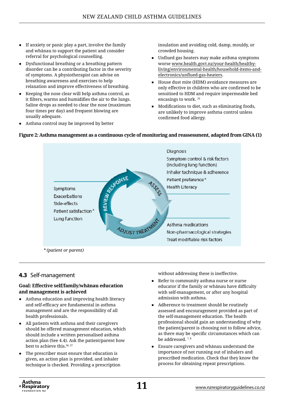- If anxiety or panic play a part, involve the family and whānau to support the patient and consider referral for psychological counselling.
- Dysfunctional breathing or a breathing pattern disorder can be a contributing factor in the severity of symptoms. A physiotherapist can advise on breathing awareness and exercises to help relaxation and improve effectiveness of breathing.
- Keeping the nose clear will help asthma control, as it filters, warms and humidifies the air to the lungs. Saline drops as needed to clear the nose (maximum four times per day) and frequent blowing are usually adequate.
- Asthma control may be improved by better

insulation and avoiding cold, damp, mouldy, or crowded housing.

- Unflued gas heaters may make asthma symptoms worse [www.health.govt.nz/your-health/healthy](http://www.health.govt.nz/your-health/healthy-living/environmental-health/household-items-and-electronics/unflued-gas-heaters)[living/environmental-health/household-items-and](http://www.health.govt.nz/your-health/healthy-living/environmental-health/household-items-and-electronics/unflued-gas-heaters)[electronics/unflued-gas-heaters](http://www.health.govt.nz/your-health/healthy-living/environmental-health/household-items-and-electronics/unflued-gas-heaters).
- ● House dust mite (HDM) avoidance measures are only effective in children who are confirmed to be sensitised to HDM and require impermeable bed encasings to work. <sup>33</sup>
- Modifications to diet, such as eliminating foods, are unlikely to improve asthma control unless confirmed food allergy.



#### **Figure 2: Asthma management as a continuous cycle of monitoring and reassessment, adapted from GINA (1)**

#### **4.3** Self-management

#### **Goal: Effective self/family/whānau education and management is achieved**

- Asthma education and improving health literacy and self-efficacy are fundamental in asthma management and are the responsibility of all health professionals.
- ● All patients with asthma and their caregivers should be offered management education, which should include a written personalised asthma action plan (See 4.4). Ask the patient/parent how best to achieve this.<sup>36, 37</sup>
- The prescriber must ensure that education is given, an action plan is provided, and inhaler technique is checked. Providing a prescription

without addressing these is ineffective.

- Refer to community asthma nurse or nurse educator if the family or whānau have difficulty with self-management, or after any hospital admission with asthma.
- ● Adherence to treatment should be routinely assessed and encouragement provided as part of the self-management education. The health professional should gain an understanding of why the patient/parent is choosing not to follow advice, as there may be specific circumstances which can be addressed. <sup>7, 8</sup>
- Ensure caregivers and whānau understand the importance of not running out of inhalers and prescribed medication. Check that they know the process for obtaining repeat prescriptions.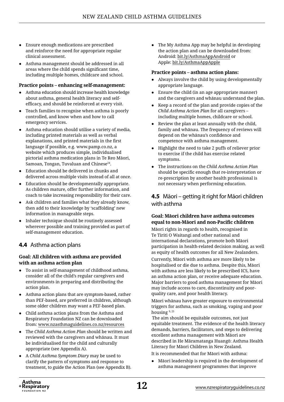- Ensure enough medications are prescribed and reinforce the need for appropriate regular clinical assessment.
- Asthma management should be addressed in all areas where the child spends significant time, including multiple homes, childcare and school.

#### **Practice points – enhancing self-management:**

- ● Asthma education should increase health knowledge about asthma, general health literacy and selfefficacy, and should be reinforced at every visit.
- Teach families to recognise when asthma is poorly controlled, and know when and how to call emergency services.
- Asthma education should utilise a variety of media, including printed materials as well as verbal explanations, and printed materials in the first language if possible, e.g. [www.pamp.co.nz](http://www.pamp.co.nz/), a website which produces simple, individualised pictorial asthma medication plans in Te Reo Māori, Samoan, Tongan, Tuvaluan and Chinese<sup>24</sup>.
- Education should be delivered in chunks and delivered across multiple visits instead of all at once.
- Education should be developmentally appropriate. As children mature, offer further information, and coach to take increasing responsibility for their care.
- Ask children and families what they already know, then add to their knowledge by 'scaffolding' new information in manageable steps.
- Inhaler technique should be routinely assessed wherever possible and training provided as part of self-management education.

#### **4.4** Asthma action plans

#### **Goal: All children with asthma are provided with an asthma action plan**

- ● To assist in self-management of childhood asthma, consider all of the child's regular caregivers and environments in preparing and distributing the action plan.
- Asthma action plans that are symptom-based, rather than PEF-based, are preferred in children, although some older children may want a PEF-based plan.
- Child asthma action plans from the Asthma and Respiratory Foundation NZ can be downloaded from: [www.nzasthmaguidelines.co.nz/resources](https://www.nzasthmaguidelines.co.nz/resources)
- The *Child Asthma Action Plan* should be written and reviewed with the caregivers and whānau. It must be individualised for the child and culturally appropriate (see Appendix A).
- A *Child Asthma Symptom Diary* may be used to clarify the pattern of symptoms and response to treatment, to guide the Action Plan (see Appendix B).

The My Asthma App may be helpful in developing the action plan and can be downloaded from: Android: [bit.ly/AsthmaAppAndroid](http://bit.ly/AsthmaAppAndroid) or Apple: [bit.ly/AsthmaAppApple](http://bit.ly/AsthmaAppApple)

#### **Practice points – asthma action plans:**

- Always involve the child by using developmentally appropriate language.
- Ensure the child (in an age appropriate manner) and the caregivers and whānau understand the plan.
- ● Keep a record of the plan and provide copies of the *Child Asthma Action Plan* for all caregivers – including multiple homes, childcare or school.
- ● Review the plan at least annually with the child, family and whānau. The frequency of reviews will depend on the whānau's confidence and competence with asthma management.
- ● Highlight the need to take 2 puffs of reliever prior to exercise if the child has exercise related symptoms.
- ● The instructions on the *Child Asthma Action Plan* should be specific enough that re-interpretation or re-prescription by another health professional is not necessary when performing education.

#### **4.5** Māori – getting it right for Māori children with asthma

#### **Goal: Māori children have asthma outcomes equal to non-Māori and non-Pacific children**

Māori rights in regards to health, recognised in Te Tiriti O Waitangi and other national and international declarations, promote both Māori participation in health-related decision making, as well as equity of health outcomes for all New Zealanders.

Currently, Māori with asthma are more likely to be hospitalised or die due to asthma. Despite this, Māori with asthma are less likely to be prescribed ICS, have an asthma action plan, or receive adequate education. Major barriers to good asthma management for Māori may include access to care, discontinuity and poorquality care, and poor health literacy.

Māori whānau have greater exposure to environmental triggers for asthma, such as smoking, vaping and poor housing 9, <sup>25</sup>

The aim should be equitable outcomes, not just equitable treatment. The evidence of the health literacy demands, barriers, facilitators, and steps to delivering excellent asthma management with Māori are described in He Māramatanga Huangō: Asthma Health Literacy for Māori Children in New Zealand.

It is recommended that for Māori with asthma:

Māori leadership is required in the development of asthma management programmes that improve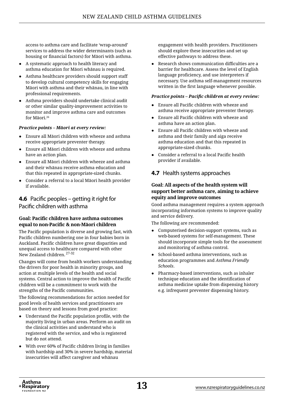access to asthma care and facilitate 'wrap-around' services to address the wider determinants (such as housing or financial factors) for Māori with asthma.

- A systematic approach to health literacy and asthma education for Māori whānau is required.
- Asthma healthcare providers should support staff to develop cultural competency skills for engaging Māori with asthma and their whānau, in line with professional requirements.
- Asthma providers should undertake clinical audit or other similar quality-improvement activities to monitor and improve asthma care and outcomes for Māori.26

#### *Practice points – Māori at every review:*

- Ensure all Māori children with wheeze and asthma receive appropriate preventer therapy.
- Ensure all Māori children with wheeze and asthma have an action plan.
- Ensure all Māori children with wheeze and asthma and their whānau receive asthma education and that this repeated in appropriate-sized chunks.
- ● Consider a referral to a local Māori health provider if available.

#### **4.6** Pacific peoples – getting it right for Pacific children with asthma

#### **Goal: Pacific children have asthma outcomes equal to non-Pacific & non-Māori children**

The Pacific population is diverse and growing fast, with Pacific children numbering one in four babies born in Auckland. Pacific children have great disparities and unequal access to healthcare compared with other New Zealand children. 27-32

Changes will come from health workers understanding the drivers for poor health in minority groups, and action at multiple levels of the health and social systems. Central action to improve the health of Pacific children will be a commitment to work with the strengths of the Pacific communities.

The following recommendations for action needed for good levels of health services and practitioners are based on theory and lessons from good practice:

- Understand the Pacific population profile, with the majority living in urban areas. Perform an audit on the clinical activities and understand who is registered with the service, and who is registered but do not attend.
- With over 60% of Pacific children living in families with hardship and 30% in severe hardship, material insecurities will affect caregiver and whānau

engagement with health providers. Practitioners should explore these insecurities and set up effective pathways to address these.

Research shows communication difficulties are a barrier for healthcare. Assess the level of English language proficiency, and use interpreters if necessary. Use asthma self-management resources written in the first language whenever possible.

#### *Practice points – Pacific children at every review:*

- Ensure all Pacific children with wheeze and asthma receive appropriate preventer therapy.
- Ensure all Pacific children with wheeze and asthma have an action plan.
- ● Ensure all Pacific children with wheeze and asthma and their family and aiga receive asthma education and that this repeated in appropriate-sized chunks.
- Consider a referral to a local Pacific health provider if available.

#### **4.7** Health systems approaches

#### **Goal: All aspects of the health system will support better asthma care, aiming to achieve equity and improve outcomes**

Good asthma management requires a system approach incorporating information systems to improve quality and service delivery.

The following are recommended:

- Computerised decision-support systems, such as web-based systems for self-management. These should incorporate simple tools for the assessment and monitoring of asthma control.
- ● School-based asthma interventions, such as education programmes and *Asthma Friendly Schools*.
- Pharmacy-based interventions, such as inhaler technique education and the identification of asthma medicine uptake from dispensing history e.g. infrequent preventer dispensing history.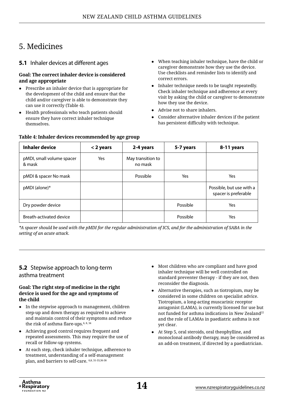## 5. Medicines

#### **5.1** Inhaler devices at different ages

#### **Goal: The correct inhaler device is considered and age appropriate**

- ● Prescribe an inhaler device that is appropriate for the development of the child and ensure that the child and/or caregiver is able to demonstrate they can use it correctly (Table 4).
- Health professionals who teach patients should ensure they have correct inhaler technique themselves.

**Table 4: Inhaler devices recommended by age group**

- ● When teaching inhaler technique, have the child or caregiver demonstrate how they use the device. Use checklists and reminder lists to identify and correct errors.
- Inhaler technique needs to be taught repeatedly. Check inhaler technique and adherence at every visit by asking the child or caregiver to demonstrate how they use the device.
- Advise not to share inhalers.
- Consider alternative inhaler devices if the patient has persistent difficulty with technique.

| <b>Inhaler device</b>               | < 2 years | 2-4 years                    | 5-7 years | 8-11 years                                       |
|-------------------------------------|-----------|------------------------------|-----------|--------------------------------------------------|
| pMDI, small volume spacer<br>& mask | Yes       | May transition to<br>no mask |           |                                                  |
| pMDI & spacer No mask               |           | Possible                     | Yes       | Yes                                              |
| pMDI (alone)*                       |           |                              |           | Possible, but use with a<br>spacer is preferable |
| Dry powder device                   |           |                              | Possible  | Yes                                              |
| Breath-activated device             |           |                              | Possible  | Yes                                              |

*\*A spacer should be used with the pMDI for the regular administration of ICS, and for the administration of SABA in the setting of an acute attack.* 

#### **5.2** Stepwise approach to long-term asthma treatment

#### **Goal: The right step of medicine in the right device is used for the age and symptoms of the child**

- In the stepwise approach to management, children step-up and down therapy as required to achieve and maintain control of their symptoms and reduce the risk of asthma flare-ups.<sup>6, 8, 34</sup>
- Achieving good control requires frequent and repeated assessments. This may require the use of recall or follow-up systems.
- At each step, check inhaler technique, adherence to treatment, understanding of a self-management plan, and barriers to self-care. 6,8, 31-33,36-38
- Most children who are compliant and have good inhaler technique will be well controlled on standard preventer therapy - if they are not, then reconsider the diagnosis.
- Alternative therapies, such as tiotropium, may be considered in some children on specialist advice. Tiotropium, a long-acting [muscarinic receptor](https://en.wikipedia.org/wiki/Muscarinic_receptor) [antagonist](https://en.wikipedia.org/wiki/Receptor_antagonist) (LAMA), is currently licensed for use but not funded for asthma indications in New Zealand<sup>22</sup> and the role of LAMAs in paediatric asthma is not yet clear.
- At Step 5, oral steroids, oral theophylline, and monoclonal antibody therapy, may be considered as an add-on treatment, if directed by a paediatrician.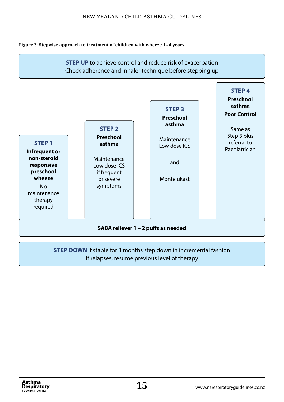#### **Figure 3: Stepwise approach to treatment of children with wheeze 1 - 4 years**



#### **STEP DOWN** if stable for 3 months step down in incremental fashion If relapses, resume previous level of therapy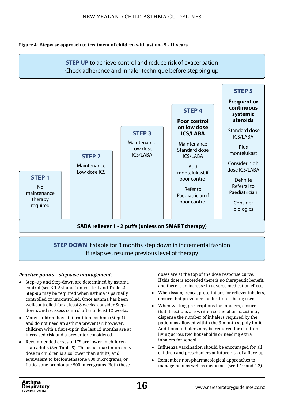#### **Figure 4: Stepwise approach to treatment of children with asthma 5 - 11 years**



If relapses, resume previous level of therapy

#### *Practice points – stepwise management:*

- Step–up and Step-down are determined by asthma control (see 3.1 Asthma Control Test and Table 2). Step-up may be required when asthma is partially controlled or uncontrolled. Once asthma has been well-controlled for at least 8 weeks, consider Stepdown, and reassess control after at least 12 weeks.
- Many children have intermittent asthma (Step 1) and do not need an asthma preventer; however, children with a flare-up in the last 12 months are at increased risk and a preventer considered.
- Recommended doses of ICS are lower in children than adults (See Table 5). The usual maximum daily dose in children is also lower than adults, and equivalent to beclomethasone 800 micrograms, or fluticasone propionate 500 micrograms. Both these

doses are at the top of the dose response curve. If this dose is exceeded there is no therapeutic benefit, and there is an increase in adverse medication effects.

- ● When issuing repeat prescriptions for reliever inhalers, ensure that preventer medication is being used.
- When writing prescriptions for inhalers, ensure that directions are written so the pharmacist may dispense the number of inhalers required by the patient as allowed within the 3-month supply limit. Additional inhalers may be required for children living across two households or needing extra inhalers for school.
- ● Influenza vaccination should be encouraged for all children and preschoolers at future risk of a flare-up.
- Remember non-pharmacological approaches to management as well as medicines (see 1.10 and 4.2).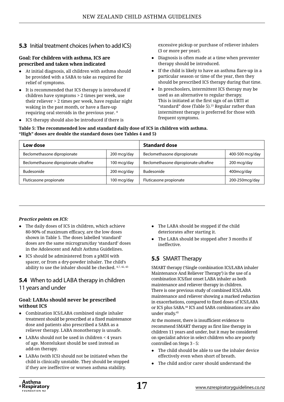#### **5.3** Initial treatment choices (when to add ICS)

#### **Goal: For children with asthma, ICS are prescribed and taken when indicated**

- ● At initial diagnosis, all children with asthma should be provided with a SABA to take as required for relief of symptoms.
- It is recommended that ICS therapy is introduced if children have symptoms > 2 times per week, use their reliever > 2 times per week, have regular night waking in the past month, or have a flare-up requiring oral steroids in the previous year. <sup>8</sup>
- ● ICS therapy should also be introduced if there is

excessive pickup or purchase of reliever inhalers (3 or more per year).

- Diagnosis is often made at a time when preventer therapy should be introduced.
- If the child is likely to have an asthma flare-up in a particular season or time of the year, then they should be prescribed ICS therapy during that time.
- In preschoolers, intermittent ICS therapy may be used as an alternative to regular therapy. This is initiated at the first sign of an URTI at "standard" dose (Table 5). $23$  Regular rather than intermittent therapy is preferred for those with frequent symptoms.

**Table 5: The recommended low and standard daily dose of ICS in children with asthma. "High" doses are double the standard doses (see Tables 4 and 5)**

| Low dose                              |             | <b>Standard dose</b>                  |                 |  |  |  |  |  |
|---------------------------------------|-------------|---------------------------------------|-----------------|--|--|--|--|--|
| Beclomethasone dipropionate           | 200 mcg/day | Beclomethasone dipropionate           | 400-500 mcg/day |  |  |  |  |  |
| Beclomethasone dipropionate ultrafine | 100 mcg/day | Beclomethasone dipropionate ultrafine | 200 mcg/day     |  |  |  |  |  |
| <b>Budesonide</b>                     | 200 mcg/day | Budesonide                            | 400 m cq/day    |  |  |  |  |  |
| Fluticasone propionate                | 100 mcg/day | Fluticasone propionate                | 200-250mcg/day  |  |  |  |  |  |

#### *Practice points on ICS:*

- The daily doses of ICS in children, which achieve 80-90% of maximum efficacy, are the low doses shown in Table 5. The doses labelled 'standard' doses are the same microgram/day 'standard' doses in the Adolescent and Adult Asthma Guidelines.
- ICS should be administered from a pMDI with spacer, or from a dry-powder inhaler. The child's ability to use the inhaler should be checked. 6,7, 42, <sup>43</sup>

#### **5.4** When to add LABA therapy in children 11 years and under

#### **Goal: LABAs should never be prescribed without ICS**

- Combination ICS/LABA combined single inhaler treatment should be prescribed at a fixed maintenance dose and patients also prescribed a SABA as a reliever therapy. LABA monotherapy is unsafe.
- $\bullet$  LABAs should not be used in children < 4 years of age. Montelukast should be used instead as add-on therapy.
- LABAs (with ICS) should not be initiated when the child is clinically unstable. They should be stopped if they are ineffective or worsen asthma stability.
- The LABA should be stopped if the child deteriorates after starting it.
- The LABA should be stopped after 3 months if ineffective.

#### **5.5** SMART Therapy

SMART therapy ('Single combination ICS/LABA inhaler Maintenance And Reliever Therapy') is the use of a combination ICS/fast onset LABA inhaler as both maintenance and reliever therapy in children. There is one previous study of combined ICS/LABA maintenance and reliever showing a marked reduction in exacerbations, compared to fixed doses of ICS/LABA or ICS plus SABA.<sup>44</sup> ICS and SABA combinations are also under study.<sup>45</sup>

At the moment, there is insufficient evidence to recommend SMART therapy as first line therapy in children 11 years and under, but it may be considered on specialist advice in select children who are poorly controlled on Steps 3 - 5:

- ● The child should be able to use the inhaler device effectively even when short of breath.
- The child and/or carer should understand the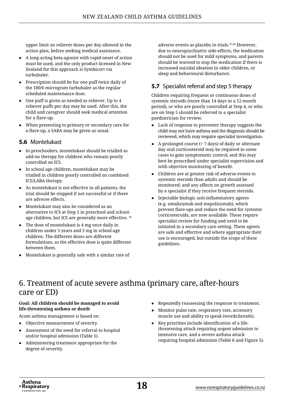upper limit on reliever doses per day allowed in the action plan, before seeking medical assistance.

- A long-acting beta-agonist with rapid onset of action must be used, and the only product licensed in New Zealand for this approach is Symbicort via turbuhaler.
- Prescription should be for one puff twice daily of the 100/6 microgram turbuhaler as the regular scheduled maintenance dose.
- One puff is given as needed as reliever. Up to 4 reliever puffs per day may be used. After this, the child and caregiver should seek medical attention for a flare-up.
- When presenting to primary or secondary care for a flare-up, a SABA may be given as usual.

#### **5.6** Montelukast

- ● In preschoolers, montelukast should be trialled as add-on therapy for children who remain poorly controlled on ICS.
- ● In school age children, montelukast may be trialled in children poorly controlled on combined ICS/LABA therapy.
- ● As montelukast is not effective in all patients, the trial should be stopped if not successful or if there are adverse effects.
- Montelukast may also be considered as an alternative to ICS at Step 2 in preschool and schoolage children, but ICS are generally more effective. <sup>46</sup>
- The dose of montelukast is 4 mg once daily in children under 5 years and 5 mg in school-age children. The different doses are different formulations, so the effective dose is quite different between them.
- Montelukast is generally safe with a similar rate of

adverse events as placebo in trials.47,48 However, due to neuropsychiatric side-effects, the medication should not be used for mild symptoms, and parents should be warned to stop the medication if there is increased suicidal ideation in older children, or sleep and behavioural disturbance.

#### **5.7** Specialist referral and step 5 therapy

Children requiring frequent or continuous doses of systemic steroids (more than 14 days in a 12-month period), or who are poorly controlled at Step 4, or who are on Step 5 should be referred to a specialist paediatrician for review.

- ● Lack of response to preventer therapy suggests the child may not have asthma and the diagnosis should be reviewed, which may require specialist investigation.
- A prolonged course ( $> 7$  days) of daily or alternate day oral corticosteroid may be required in some cases to gain symptomatic control, and this may best be prescribed under specialist supervision and with objective monitoring of benefit.
- Children are at greater risk of adverse events to systemic steroids than adults and should be monitored, and any affects on growth assessed by a specialist if they receive frequent steroids.
- Injectable biologic anti-inflammatory agents (e.g. omalizumab and mepolizumab), which prevent flare-ups and reduce the need for systemic corticosteroids, are now available. These require specialist review for funding and need to be initiated in a secondary care setting. These agents are safe and effective and where appropriate their use is encouraged, but outside the scope of these guidelines.

## 6. Treatment of acute severe asthma (primary care, after-hours care or ED)

#### **Goal: All children should be managed to avoid life-threatening asthma or death**

Acute asthma management is based on:

- Objective measurement of severity.
- Assessment of the need for referral to hospital and/or hospital admission (Table 5).
- Administering treatment appropriate for the degree of severity.
- Repeatedly reassessing the response to treatment.
- ● Monitor pulse rate, respiratory rate, accessory muscle use and ability to speak (words/breath).
- Key priorities include identification of a lifethreatening attack requiring urgent admission to intensive care, and a severe asthma attack requiring hospital admission (Table 6 and Figure 5).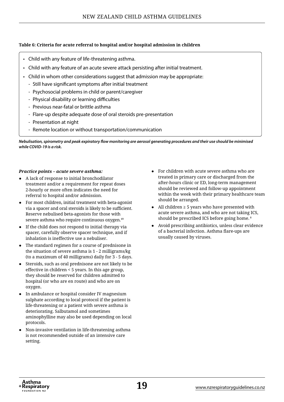#### **Table 6: Criteria for acute referral to hospital and/or hospital admission in children**

- Child with any feature of life-threatening asthma.
- Child with any feature of an acute severe attack persisting after initial treatment.
- Child in whom other considerations suggest that admission may be appropriate:
	- Still have significant symptoms after initial treatment
	- Psychosocial problems in child or parent/caregiver
	- Physical disability or learning difficulties
	- Previous near-fatal or brittle asthma
	- Flare-up despite adequate dose of oral steroids pre-presentation
	- Presentation at night
	- Remote location or without transportation/communication

*Nebulisation, spirometry and peak expiratory flow monitoring are aerosol generating procedures and their use should be minimised while COVID-19 is a risk.*

#### *Practice points – acute severe asthma:*

- ● A lack of response to initial bronchodilator treatment and/or a requirement for repeat doses 2-hourly or more often indicates the need for referral to hospital and/or admission.
- For most children, initial treatment with beta-agonist via a spacer and oral steroids is likely to be sufficient. Reserve nebulised beta-agonists for those with severe asthma who require continuous oxygen.<sup>49</sup>
- If the child does not respond to initial therapy via spacer, carefully observe spacer technique, and if inhalation is ineffective use a nebuliser.
- The standard regimen for a course of prednisone in the situation of severe asthma is 1 - 2 milligrams/kg (to a maximum of 40 milligrams) daily for 3 - 5 days.
- Steroids, such as oral prednisone are not likely to be effective in children < 5 years. In this age group, they should be reserved for children admitted to hospital (or who are en route) and who are on oxygen.
- In ambulance or hospital consider IV magnesium sulphate according to local protocol if the patient is life-threatening or a patient with severe asthma is deteriorating. Salbutamol and sometimes aminophylline may also be used depending on local protocols.
- Non-invasive ventilation in life-threatening asthma is not recommended outside of an intensive care setting.
- For children with acute severe asthma who are treated in primary care or discharged from the after-hours clinic or ED, long-term management should be reviewed and follow-up appointment within the week with their primary healthcare team should be arranged.
- All children  $\geq 5$  years who have presented with acute severe asthma, and who are not taking ICS, should be prescribed ICS before going home. <sup>8</sup>
- ● Avoid prescribing antibiotics, unless clear evidence of a bacterial infection. Asthma flare-ups are usually caused by viruses.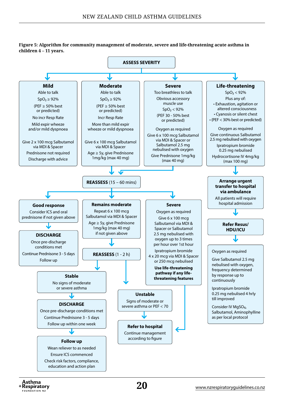**Figure 5: Algorithm for community management of moderate, severe and life-threatening acute asthma in children 4 – 11 years.** 



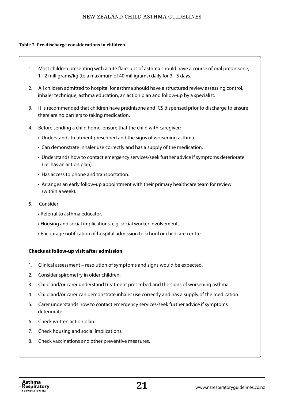#### **Table 7: Pre-discharge considerations in children**

- 1. Most children presenting with acute flare-ups of asthma should have a course of oral prednisone, 1 - 2 milligrams/kg (to a maximum of 40 milligrams) daily for 3 - 5 days.
- 2. All children admitted to hospital for asthma should have a structured review assessing control, inhaler technique, asthma education, an action plan and follow-up by a specialist.
- 3. It is recommended that children have prednisone and ICS dispensed prior to discharge to ensure there are no barriers to taking medication.
- 4. Before sending a child home, ensure that the child with caregiver:
	- Understands treatment prescribed and the signs of worsening asthma.
	- Can demonstrate inhaler use correctly and has a supply of the medication.
	- Understands how to contact emergency services/seek further advice if symptoms deteriorate (i.e. has an action plan).
	- Has access to phone and transportation.
	- Arranges an early follow-up appointment with their primary healthcare team for review (within a week).
- 5. Consider:
	- Referral to asthma educator.
	- Housing and social implications, e.g. social worker involvement.
	- Encourage notification of hospital admission to school or childcare centre.

#### **Checks at follow-up visit after admission**

- 1. Clinical assessment resolution of symptoms and signs would be expected.
- 2. Consider spirometry in older children.
- 3. Child and/or carer understand treatment prescribed and the signs of worsening asthma.
- 4. Child and/or carer can demonstrate inhaler use correctly and has a supply of the medication.
- 5. Carer understands how to contact emergency services/seek further advice if symptoms deteriorate.
- 6. Check written action plan.
- 7. Check housing and social implications.
- 8. Check vaccinations and other preventive measures.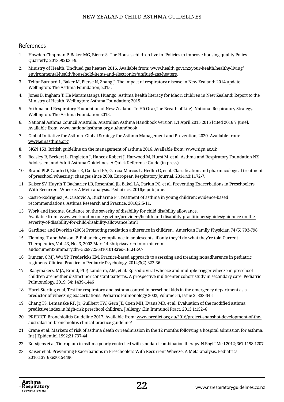#### References

- 1. Howden-Chapman P, Baker MG, Bierre S. The Houses children live in. Policies to improve housing quality Policy Quarterly. 2013;9(2):35-9.
- 2. Ministry of Health. Un-flued gas heaters 2016. Available from: [www.health.govt.nz/your-health/healthy-living/](http://www.health.govt.nz/your-health/healthy-living/environmental-health/household-items-and-electronics/unflued-gas-heaters) [environmental-health/household-items-and-electronics/unflued-gas-heaters](http://www.health.govt.nz/your-health/healthy-living/environmental-health/household-items-and-electronics/unflued-gas-heaters).
- 3. Telfar Barnard L, Baker M, Pierse N, Zhang J. The impact of respiratory disease in New Zealand: 2014 update. Wellington: The Asthma Foundation; 2015.
- 4. Jones B, Ingham T. He Māramatanga Huangō: Asthma health literacy for Māori children in New Zealand: Report to the Ministry of Health. Wellington: Asthma Foundation; 2015.
- 5. Asthma and Respiratory Foundation of New Zealand. Te Hā Ora (The Breath of Life): National Respiratory Strategy. Wellington: The Asthma Foundation 2015.
- 6. National Asthma Council Australia. Australian Asthma Handbook Version 1.1 April 2015 2015 [cited 2016 7 June]. Available from: [www.nationalasthma.org.au/handbook](http://www.nationalasthma.org.au/handbook)
- 7. Global Initiative for Asthma. Global Strategy for Asthma Management and Prevention, 2020. Available from: [www.ginasthma.org](http://www.ginasthma.org)
- 8. SIGN 153. British guideline on the management of asthma 2016. Available from: [www.sign.ac.uk](http://www.sign.ac.uk/)
- 9. Beasley R, Beckert L, Fingleton J, Hancox Robert J, Harwood M, Hurst M, et al. Asthma and Respiratory Foundation NZ Adolescent and Adult Asthma Guidelines: A Quick Reference Guide (in press).
- 10. Brand PLP, Caudri D, Eber E, Gaillard EA, Garcia-Marcos L, Hedlin G, et al. Classification and pharmacological treatment of preschool wheezing: changes since 2008. European Respiratory Journal. 2014;43:1172-7.
- 11. Kaiser SV, Huynh T, Bacharier LB, Rosenthal JL, Bakel LA, Parkin PC, et al. Preventing Exacerbations in Preschoolers With Recurrent Wheeze: A Meta-analysis. Pediatrics. 2016;e-pub June.
- 12. Castro-Rodriguez JA, Custovic A, Ducharme F. Treatment of asthma in young children: evidence-based recommendations. Asthma Research and Practice. 2016;2:5-11.
- 13. Work and Income. Guidance on the severity of disability for child disability allowance. Available from: [www.workandincome.govt.nz/providers/health-and-disability-practitioners/guides/guidance-on-the](https://www.workandincome.govt.nz/providers/health-and-disability-practitioners/guides/guidance-on-the-severity-of-disability-for-child-disability-allowance.html)[severity-of-disability-for-child-disability-allowance.html](https://www.workandincome.govt.nz/providers/health-and-disability-practitioners/guides/guidance-on-the-severity-of-disability-for-child-disability-allowance.html)
- 14. Gardiner and Dvorkin (2006) Promoting mediation adherence in children. American Family Physician 74 (5) 793-798
- 15. Fleming, T and Watson, P. Enhancing compliance in adolescents: if only they'd do what they're told Current Therapeutics, Vol. 43, No. 3, 2002 Mar: 14 <http://search.informit.com. audocumentSummary;dn=526872563101018;res=IELHEA>
- 16. Duncan C MJ, Wu YP, Fredericks EM. Practice-based approach to assessing and treating nonadherence in pediatric regimens. Clinical Practice in Pediatric Psychology. 2014;3(2):322-36.
- 17. Raaymakers, MJA, Brand, PLP, Landstra, AM, et al. Episodic viral wheeze and multiple-trigger wheeze in preschool children are neither distinct nor constant patterns. A prospective multicenter cohort study in secondary care. Pediatric Pulmonology. 2019; 54: 1439-1446
- 18. Harel-Sterling et al, Test for respiratory and asthma control in preschool kids in the emergency department as a predictor of wheezing exacerbations. Pediatric Pulmonology 2002, Volume 55, Issue 2: 338-345
- 19. Chang TS, Lemanske RF, Jr, Guilbert TW, Gern JE, Coen MH, Evans MD, et al. Evaluation of the modified asthma predictive index in high-risk preschool children. J Allergy Clin Immunol Pract. 2013;1:152–6
- 20. PREDICT. Bronchiolitis Guideline 2017. Available from: [www.predict.org.au/2016/project-snapshot-development-of-the](http://www.predict.org.au/2016/project-snapshot-development-of-the-australasian-bronchiolitis-clinical-practice-guideline/)[australasian-bronchiolitis-clinical-practice-guideline/](http://www.predict.org.au/2016/project-snapshot-development-of-the-australasian-bronchiolitis-clinical-practice-guideline/)
- 21. Crane et al. Markers of risk of asthma death or readmission in the 12 months following a hospital admission for asthma. Int J Epidemiol 1992;21;737-44
- 22. Kerstjens et al, Tiotropium in asthma poorly controlled with standard combination therapy. N Engl J Med 2012; 367:1198-1207.
- 23. Kaiser et al. Preventing Exacerbations in Preschoolers With Recurrent Wheeze: A Meta-analysis. Pediatrics. 2016;137(6):e20154496.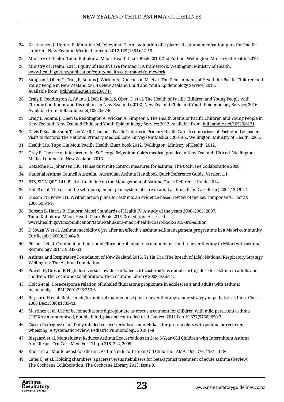- 24. Kristiansen J, Hetutu E, Manukia M, Jelleyman T. An evaluation of a pictorial asthma medication plan for Pacific children. New Zealand Medical Journal 2012;125(1354):42-50.
- 25. Ministry of Health. Tatau Kahukura: Māori Health Chart Book 2010, 2nd Edition. Wellington: Ministry of Health; 2010.
- 26. Ministry of Health. 2014. Equity of Health Care for Māori: A framework. Wellington: Ministry of Health. [www.health.govt.nz/publication/equity-health-care-maori-framework](http://www.health.govt.nz/publication/equity-health-care-maori-framework).
- 27. Simpson J, Oben G, Craig E, Adams J, Wicken A, Duncanson M, et al. The Determinants of Health for Pacific Children and Young People in New Zealand (2014): New Zealand Child and Youth Epidemiology Service; 2016. Available from: [hdl.handle.net/10523/6747](http://hdl.handle.net/10523/6747)
- 28. Craig E, Reddington A, Adams J, Dell R, Jack S, Oben G, et al. The Health of Pacific Children and Young People with Chronic Conditions and Disabilities in New Zealand (2013): New Zealand Child and Youth Epidemiology Service; 2016. Available from: [hdl.handle.net/10523/6746](http://hdl.handle.net/10523/6746)
- 29. Craig E, Adams J, Oben G, Reddington A, Wicken A, Simpson J. The Health Status of Pacific Children and Young People in New Zealand: New Zealand Child and Youth Epidemiology Service; 2012. Available from: [hdl.handle.net/10523/6131](http://hdl.handle.net/10523/6131)
- 30. Davis P, Suaalii-Sauni T, Lay-Yee R, Pearson J. Pacific Patterns in Primary Health Care: A comparison of Pacific and all patient visits to doctors: The National Primary Medical Care Survey (NatMedCa): 2001/02. Wellington: Ministry of Health; 2005.
- 31. Health Mo. Tupu Ola Moui Pacific Health Chart Book 2012. Wellington: Ministry of Health; 2012.
- 32. Gray B. The use of interpreters In: St George IM, editor. Cole's medical practice in New Zealand. 12th ed. Wellington: Medical Council of New Zealand; 2013
- 33. Gotzsche PC, Johansen HK. House dust mite control measures for asthma. The Cochrane Collaboration 2008.
- 34. National Asthma Council Australia. Australian Asthma Handbook Quick Reference Guide. Version 1.1.
- 35. BTS, SIGN QRG 141: British Guideline on the Management of Asthma Quick Reference Guide 2014.
- 36. Holt S et al. The use of the self-management plan system of care in adult asthma. Prim Care Resp J 2004;13:19-27.
- 37. Gibson PG, Powell H. Written action plans for asthma: an evidence-based review of the key components. Thorax 2004;59:94-9.
- 38. Robson B, Harris R. Hauora: Māori Standards of Health IV. A study of the years 2000–2005. 2007. Tatau Kahukura: Māori Health Chart Book 2015, 3rd edition. Accessed [www.health.govt.nz/publication/tatau-kahukura-maori-health-chart-book-2015-3rd-edition](http://www.health.govt.nz/publication/tatau-kahukura-maori-health-chart-book-2015-3rd-edition)
- 39. D'Souza W et al. Asthma morbidity 6 yrs after an effective asthma self-management programme in a Māori community. Eur Respir J 2000;15:464-9.
- 40. Pilcher J et al. Combination budesonide/formoterol inhaler as maintenance and reliever therapy in Māori with asthma. Respirology 2014;19:842-51.
- 41. Asthma and Respiratory Foundation of New Zealand 2015. Te Hā Ora (The Breath of Life): National Respiratory Strategy. Wellington: The Asthma Foundation.
- 42. Powell H, Gibson P. High dose versus low dose inhaled corticosteroids as initial starting dose for asthma in adults and children. The Cochrane Collaboration. The Cochrane Library 2008, Issue 4.
- 43. Holt S et al. Dose-response relation of inhaled fluticasone propionate in adolescents and adults with asthma: meta-analysis. BMJ 2001;323:253-6.
- 44. Bisgaard H et al. Budesonide/formoterol maintenance plus reliever therapy: a new strategy in pediatric asthma. Chest. 2006 Dec;130(6):1733-43.
- 45. Martinez et al. Use of beclomethasone dipropionate as rescue treatment for children with mild persistent asthma (TREXA): a randomised, double-blind, placebo-controlled trial. Lancet. 2011 Feb 19;377(9766):650-7.
- 46. Castro-Rodriguez et al. Daily inhaled corticosteroids or montelukast for preschoolers with asthma or recurrent wheezing: A systematic review. Pediatric Pulmonology. 2018;1–8
- 47. Bisgaard et al. Montelukast Reduces Asthma Exacerbations in 2- to 5-Year-Old Children with Intermittent Asthma. Am J Respir Crit Care Med. Vol 171. pp 315–322, 2005.
- 48. Knorr et al. Montelukast for Chronic Asthma in 6- to 14-Year-Old Children. JAMA, 199; 279: 1181 1186
- 49. Cates CJ et al. Holding chambers (spacers) versus nebulisers for beta-agonist treatment of acute asthma (Review). The Cochrane Collaboration. The Cochrane Library 2013, Issue 9.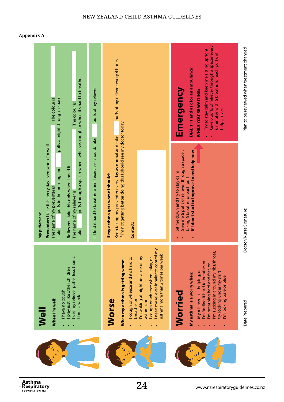

Asthma<br>Respiratory+ **FOUNDATION NZ** 

**24** [www.nzrespiratoryguidelines.co.nz](https://www.nzrespiratoryguidelines.co.nz)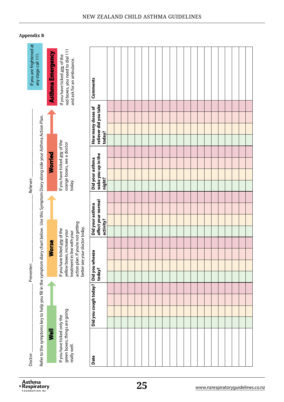| If you are frightened at<br>any stage call 111.                                                                                         | <b>Asthma Emergency</b> | red boxes, you need to dial 111<br>If you have ticked any of the<br>and ask for an ambulance.                                                                      | Comments                                        |  |  |  |  |  |  |  |  |  |  |
|-----------------------------------------------------------------------------------------------------------------------------------------|-------------------------|--------------------------------------------------------------------------------------------------------------------------------------------------------------------|-------------------------------------------------|--|--|--|--|--|--|--|--|--|--|
|                                                                                                                                         |                         |                                                                                                                                                                    |                                                 |  |  |  |  |  |  |  |  |  |  |
|                                                                                                                                         |                         |                                                                                                                                                                    | reliever did you take<br>How many doses of      |  |  |  |  |  |  |  |  |  |  |
|                                                                                                                                         |                         |                                                                                                                                                                    | today?                                          |  |  |  |  |  |  |  |  |  |  |
|                                                                                                                                         |                         |                                                                                                                                                                    |                                                 |  |  |  |  |  |  |  |  |  |  |
|                                                                                                                                         |                         | If you have ticked any of the<br>orange boxes, see a doctor                                                                                                        |                                                 |  |  |  |  |  |  |  |  |  |  |
|                                                                                                                                         | Worried                 |                                                                                                                                                                    |                                                 |  |  |  |  |  |  |  |  |  |  |
|                                                                                                                                         |                         |                                                                                                                                                                    | wake you up in the<br>Did your asthma<br>night? |  |  |  |  |  |  |  |  |  |  |
| Reliever:<br>today.                                                                                                                     |                         |                                                                                                                                                                    |                                                 |  |  |  |  |  |  |  |  |  |  |
|                                                                                                                                         |                         |                                                                                                                                                                    |                                                 |  |  |  |  |  |  |  |  |  |  |
|                                                                                                                                         |                         |                                                                                                                                                                    | affect your normal<br>Did your asthma           |  |  |  |  |  |  |  |  |  |  |
|                                                                                                                                         |                         | activity?                                                                                                                                                          |                                                 |  |  |  |  |  |  |  |  |  |  |
|                                                                                                                                         |                         | action plan. If you're not getting<br>better see your doctor today.<br>If you have ticked any of the<br>yellow boxes, increase your<br>treatment in line with your |                                                 |  |  |  |  |  |  |  |  |  |  |
|                                                                                                                                         | <b>Worse</b>            |                                                                                                                                                                    |                                                 |  |  |  |  |  |  |  |  |  |  |
|                                                                                                                                         |                         |                                                                                                                                                                    |                                                 |  |  |  |  |  |  |  |  |  |  |
| Preventer:                                                                                                                              |                         |                                                                                                                                                                    | Did you wheeze<br>today?                        |  |  |  |  |  |  |  |  |  |  |
|                                                                                                                                         |                         |                                                                                                                                                                    |                                                 |  |  |  |  |  |  |  |  |  |  |
|                                                                                                                                         |                         |                                                                                                                                                                    |                                                 |  |  |  |  |  |  |  |  |  |  |
|                                                                                                                                         |                         |                                                                                                                                                                    | Did you cough today?                            |  |  |  |  |  |  |  |  |  |  |
|                                                                                                                                         |                         |                                                                                                                                                                    |                                                 |  |  |  |  |  |  |  |  |  |  |
| Refer to the symptoms key to help you fill in the symptom diary chart below. Use this Symptom Diary along side your Asthma Action Plan. | $\bar{\mathbf{z}}$      | green boxes, things are going<br>If you have ticked only the                                                                                                       |                                                 |  |  |  |  |  |  |  |  |  |  |
| Doctor:                                                                                                                                 | really well.<br>Date    |                                                                                                                                                                    |                                                 |  |  |  |  |  |  |  |  |  |  |

#### NEW ZEALAND CHILD ASTHMA GUIDELINES

**Appendix B**